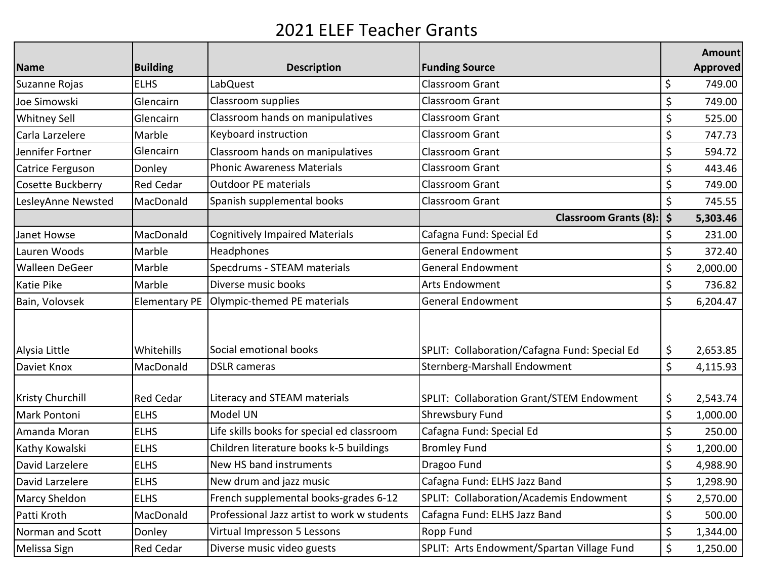## 2021 ELEF Teacher Grants

|                         |                  |                                             |                                               | Amount          |
|-------------------------|------------------|---------------------------------------------|-----------------------------------------------|-----------------|
| Name                    | <b>Building</b>  | <b>Description</b>                          | <b>Funding Source</b>                         | <b>Approved</b> |
| Suzanne Rojas           | <b>ELHS</b>      | LabQuest                                    | <b>Classroom Grant</b>                        | \$<br>749.00    |
| Joe Simowski            | Glencairn        | Classroom supplies                          | <b>Classroom Grant</b>                        | \$<br>749.00    |
| <b>Whitney Sell</b>     | Glencairn        | Classroom hands on manipulatives            | Classroom Grant                               | \$<br>525.00    |
| Carla Larzelere         | Marble           | Keyboard instruction                        | Classroom Grant                               | \$<br>747.73    |
| Jennifer Fortner        | Glencairn        | Classroom hands on manipulatives            | <b>Classroom Grant</b>                        | \$<br>594.72    |
| Catrice Ferguson        | Donley           | <b>Phonic Awareness Materials</b>           | Classroom Grant                               | \$<br>443.46    |
| Cosette Buckberry       | <b>Red Cedar</b> | <b>Outdoor PE materials</b>                 | <b>Classroom Grant</b>                        | \$<br>749.00    |
| LesleyAnne Newsted      | MacDonald        | Spanish supplemental books                  | <b>Classroom Grant</b>                        | \$<br>745.55    |
|                         |                  |                                             | <b>Classroom Grants (8):</b>                  | \$<br>5,303.46  |
| Janet Howse             | MacDonald        | <b>Cognitively Impaired Materials</b>       | Cafagna Fund: Special Ed                      | \$<br>231.00    |
| Lauren Woods            | Marble           | Headphones                                  | <b>General Endowment</b>                      | \$<br>372.40    |
| <b>Walleen DeGeer</b>   | Marble           | Specdrums - STEAM materials                 | <b>General Endowment</b>                      | \$<br>2,000.00  |
| <b>Katie Pike</b>       | Marble           | Diverse music books                         | <b>Arts Endowment</b>                         | \$<br>736.82    |
| Bain, Volovsek          |                  | Elementary PE   Olympic-themed PE materials | <b>General Endowment</b>                      | \$<br>6,204.47  |
| Alysia Little           | Whitehills       | Social emotional books                      | SPLIT: Collaboration/Cafagna Fund: Special Ed | \$<br>2,653.85  |
| Daviet Knox             | MacDonald        | <b>DSLR</b> cameras                         | Sternberg-Marshall Endowment                  | \$<br>4,115.93  |
| <b>Kristy Churchill</b> | <b>Red Cedar</b> | Literacy and STEAM materials                | SPLIT: Collaboration Grant/STEM Endowment     | \$<br>2,543.74  |
| Mark Pontoni            | <b>ELHS</b>      | Model UN                                    | <b>Shrewsbury Fund</b>                        | \$<br>1,000.00  |
| Amanda Moran            | <b>ELHS</b>      | Life skills books for special ed classroom  | Cafagna Fund: Special Ed                      | \$<br>250.00    |
| Kathy Kowalski          | <b>ELHS</b>      | Children literature books k-5 buildings     | <b>Bromley Fund</b>                           | \$<br>1,200.00  |
| David Larzelere         | <b>ELHS</b>      | New HS band instruments                     | Dragoo Fund                                   | \$<br>4,988.90  |
| David Larzelere         | <b>ELHS</b>      | New drum and jazz music                     | Cafagna Fund: ELHS Jazz Band                  | \$<br>1,298.90  |
| <b>Marcy Sheldon</b>    | <b>ELHS</b>      | French supplemental books-grades 6-12       | SPLIT: Collaboration/Academis Endowment       | \$<br>2,570.00  |
| Patti Kroth             | MacDonald        | Professional Jazz artist to work w students | Cafagna Fund: ELHS Jazz Band                  | \$<br>500.00    |
| Norman and Scott        | Donley           | Virtual Impresson 5 Lessons                 | Ropp Fund                                     | \$<br>1,344.00  |
| Melissa Sign            | <b>Red Cedar</b> | Diverse music video guests                  | SPLIT: Arts Endowment/Spartan Village Fund    | \$<br>1,250.00  |